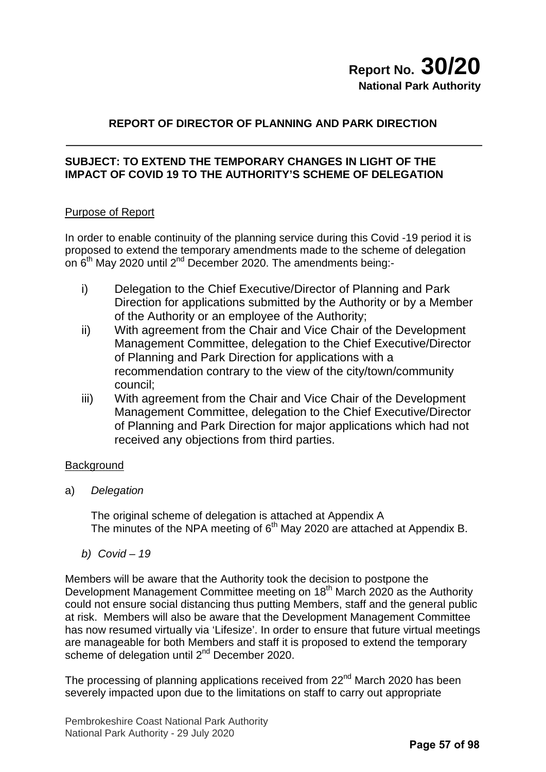# **REPORT OF DIRECTOR OF PLANNING AND PARK DIRECTION**

# **SUBJECT: TO EXTEND THE TEMPORARY CHANGES IN LIGHT OF THE IMPACT OF COVID 19 TO THE AUTHORITY'S SCHEME OF DELEGATION**

# Purpose of Report

In order to enable continuity of the planning service during this Covid -19 period it is proposed to extend the temporary amendments made to the scheme of delegation on 6<sup>th</sup> May 2020 until 2<sup>nd</sup> December 2020. The amendments being:-

- i) Delegation to the Chief Executive/Director of Planning and Park Direction for applications submitted by the Authority or by a Member of the Authority or an employee of the Authority;
- ii) With agreement from the Chair and Vice Chair of the Development Management Committee, delegation to the Chief Executive/Director of Planning and Park Direction for applications with a recommendation contrary to the view of the city/town/community council;
- iii) With agreement from the Chair and Vice Chair of the Development Management Committee, delegation to the Chief Executive/Director of Planning and Park Direction for major applications which had not received any objections from third parties.

# **Background**

a) *Delegation*

The original scheme of delegation is attached at Appendix A The minutes of the NPA meeting of 6<sup>th</sup> May 2020 are attached at Appendix B.

*b) Covid – 19*

Members will be aware that the Authority took the decision to postpone the Development Management Committee meeting on 18<sup>th</sup> March 2020 as the Authority could not ensure social distancing thus putting Members, staff and the general public at risk. Members will also be aware that the Development Management Committee has now resumed virtually via 'Lifesize'. In order to ensure that future virtual meetings are manageable for both Members and staff it is proposed to extend the temporary scheme of delegation until 2<sup>nd</sup> December 2020.

The processing of planning applications received from 22<sup>nd</sup> March 2020 has been severely impacted upon due to the limitations on staff to carry out appropriate